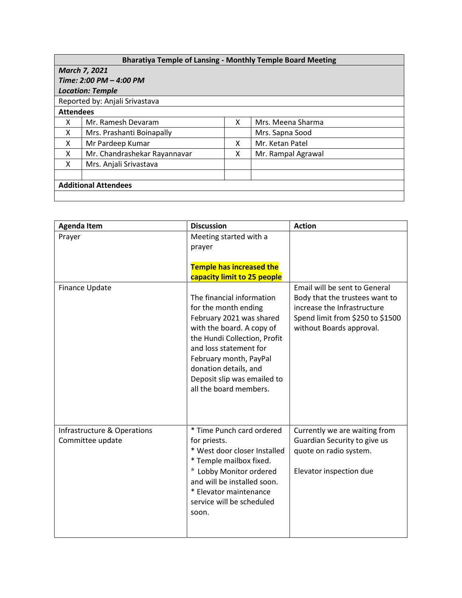| <b>Bharatiya Temple of Lansing - Monthly Temple Board Meeting</b> |                              |   |                    |  |  |  |  |
|-------------------------------------------------------------------|------------------------------|---|--------------------|--|--|--|--|
| <b>March 7, 2021</b>                                              |                              |   |                    |  |  |  |  |
| Time: 2:00 PM - 4:00 PM                                           |                              |   |                    |  |  |  |  |
| <b>Location: Temple</b>                                           |                              |   |                    |  |  |  |  |
| Reported by: Anjali Srivastava                                    |                              |   |                    |  |  |  |  |
| <b>Attendees</b>                                                  |                              |   |                    |  |  |  |  |
| X                                                                 | Mr. Ramesh Devaram           | x | Mrs. Meena Sharma  |  |  |  |  |
| x                                                                 | Mrs. Prashanti Boinapally    |   | Mrs. Sapna Sood    |  |  |  |  |
| X                                                                 | Mr Pardeep Kumar             | x | Mr. Ketan Patel    |  |  |  |  |
| x                                                                 | Mr. Chandrashekar Rayannavar | x | Mr. Rampal Agrawal |  |  |  |  |
| x                                                                 | Mrs. Anjali Srivastava       |   |                    |  |  |  |  |
|                                                                   |                              |   |                    |  |  |  |  |
| <b>Additional Attendees</b>                                       |                              |   |                    |  |  |  |  |
|                                                                   |                              |   |                    |  |  |  |  |

| <b>Agenda Item</b>               | <b>Discussion</b>                                     | <b>Action</b>                    |
|----------------------------------|-------------------------------------------------------|----------------------------------|
| Meeting started with a<br>Prayer |                                                       |                                  |
|                                  | prayer                                                |                                  |
|                                  |                                                       |                                  |
|                                  | <b>Temple has increased the</b>                       |                                  |
|                                  | capacity limit to 25 people                           |                                  |
| Finance Update                   |                                                       | Email will be sent to General    |
|                                  | The financial information                             | Body that the trustees want to   |
|                                  | for the month ending                                  | increase the Infrastructure      |
|                                  | February 2021 was shared                              | Spend limit from \$250 to \$1500 |
|                                  | with the board. A copy of                             | without Boards approval.         |
|                                  | the Hundi Collection, Profit                          |                                  |
|                                  | and loss statement for                                |                                  |
|                                  | February month, PayPal                                |                                  |
|                                  | donation details, and                                 |                                  |
|                                  | Deposit slip was emailed to<br>all the board members. |                                  |
|                                  |                                                       |                                  |
|                                  |                                                       |                                  |
|                                  |                                                       |                                  |
| Infrastructure & Operations      | * Time Punch card ordered                             | Currently we are waiting from    |
| Committee update                 | for priests.                                          | Guardian Security to give us     |
|                                  | * West door closer Installed                          | quote on radio system.           |
|                                  | * Temple mailbox fixed.                               |                                  |
|                                  | * Lobby Monitor ordered                               | Elevator inspection due          |
|                                  | and will be installed soon.                           |                                  |
|                                  | * Elevator maintenance                                |                                  |
|                                  | service will be scheduled                             |                                  |
|                                  | soon.                                                 |                                  |
|                                  |                                                       |                                  |
|                                  |                                                       |                                  |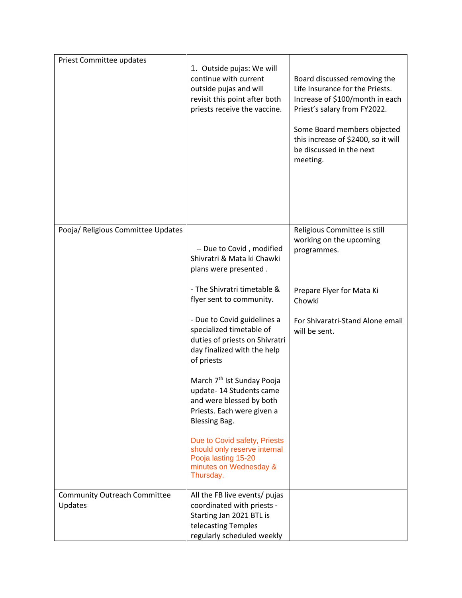| Priest Committee updates                       | 1. Outside pujas: We will<br>continue with current<br>outside pujas and will<br>revisit this point after both<br>priests receive the vaccine.       | Board discussed removing the<br>Life Insurance for the Priests.<br>Increase of \$100/month in each<br>Priest's salary from FY2022.<br>Some Board members objected<br>this increase of \$2400, so it will<br>be discussed in the next<br>meeting. |
|------------------------------------------------|-----------------------------------------------------------------------------------------------------------------------------------------------------|--------------------------------------------------------------------------------------------------------------------------------------------------------------------------------------------------------------------------------------------------|
| Pooja/ Religious Committee Updates             | -- Due to Covid, modified<br>Shivratri & Mata ki Chawki<br>plans were presented.                                                                    | Religious Committee is still<br>working on the upcoming<br>programmes.                                                                                                                                                                           |
|                                                | - The Shivratri timetable &<br>flyer sent to community.                                                                                             | Prepare Flyer for Mata Ki<br>Chowki                                                                                                                                                                                                              |
|                                                | - Due to Covid guidelines a<br>specialized timetable of<br>duties of priests on Shivratri<br>day finalized with the help<br>of priests              | For Shivaratri-Stand Alone email<br>will be sent.                                                                                                                                                                                                |
|                                                | March 7 <sup>th</sup> Ist Sunday Pooja<br>update-14 Students came<br>and were blessed by both<br>Priests. Each were given a<br><b>Blessing Bag.</b> |                                                                                                                                                                                                                                                  |
|                                                | Due to Covid safety, Priests<br>should only reserve internal<br>Pooja lasting 15-20<br>minutes on Wednesday &<br>Thursday.                          |                                                                                                                                                                                                                                                  |
| <b>Community Outreach Committee</b><br>Updates | All the FB live events/ pujas<br>coordinated with priests -<br>Starting Jan 2021 BTL is<br>telecasting Temples<br>regularly scheduled weekly        |                                                                                                                                                                                                                                                  |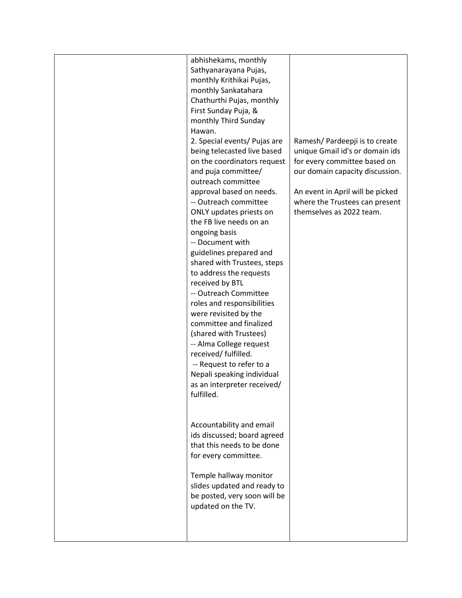| abhishekams, monthly<br>Sathyanarayana Pujas,<br>monthly Krithikai Pujas,<br>monthly Sankatahara<br>Chathurthi Pujas, monthly<br>First Sunday Puja, &<br>monthly Third Sunday<br>Hawan.<br>2. Special events/ Pujas are<br>being telecasted live based<br>on the coordinators request<br>and puja committee/<br>outreach committee<br>approval based on needs.<br>-- Outreach committee<br>ONLY updates priests on<br>the FB live needs on an<br>ongoing basis<br>-- Document with<br>guidelines prepared and<br>shared with Trustees, steps<br>to address the requests<br>received by BTL<br>-- Outreach Committee<br>roles and responsibilities<br>were revisited by the<br>committee and finalized<br>(shared with Trustees)<br>-- Alma College request<br>received/ fulfilled.<br>-- Request to refer to a<br>Nepali speaking individual<br>as an interpreter received/<br>fulfilled. | Ramesh/ Pardeepji is to create<br>unique Gmail id's or domain ids<br>for every committee based on<br>our domain capacity discussion.<br>An event in April will be picked<br>where the Trustees can present<br>themselves as 2022 team. |
|-------------------------------------------------------------------------------------------------------------------------------------------------------------------------------------------------------------------------------------------------------------------------------------------------------------------------------------------------------------------------------------------------------------------------------------------------------------------------------------------------------------------------------------------------------------------------------------------------------------------------------------------------------------------------------------------------------------------------------------------------------------------------------------------------------------------------------------------------------------------------------------------|----------------------------------------------------------------------------------------------------------------------------------------------------------------------------------------------------------------------------------------|
| Accountability and email<br>ids discussed; board agreed<br>that this needs to be done<br>for every committee.<br>Temple hallway monitor<br>slides updated and ready to<br>be posted, very soon will be<br>updated on the TV.                                                                                                                                                                                                                                                                                                                                                                                                                                                                                                                                                                                                                                                              |                                                                                                                                                                                                                                        |